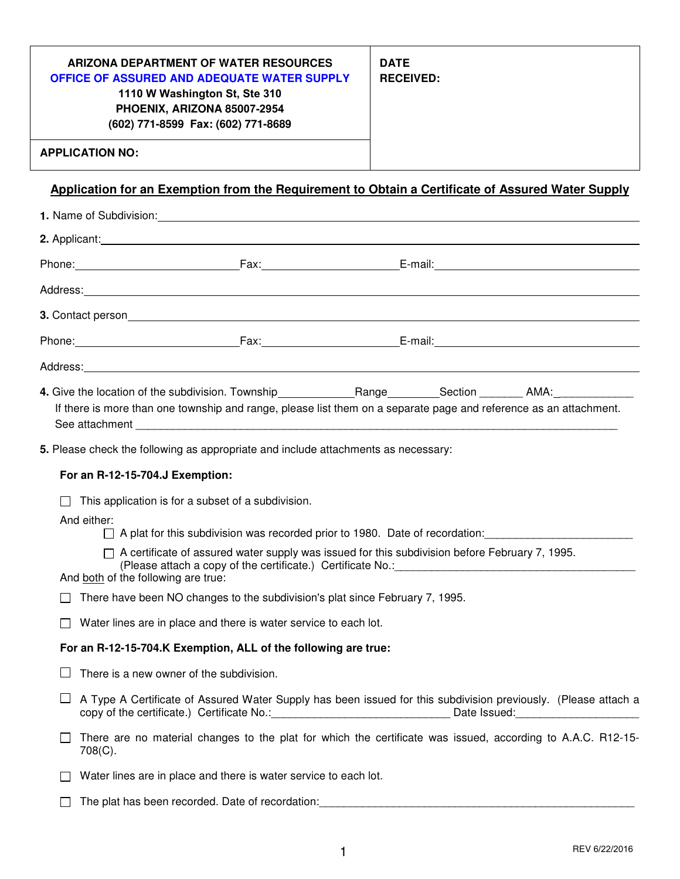| ARIZONA DEPARTMENT OF WATER RESOURCES<br>OFFICE OF ASSURED AND ADEQUATE WATER SUPPLY<br>1110 W Washington St, Ste 310<br>PHOENIX, ARIZONA 85007-2954<br>(602) 771-8599 Fax: (602) 771-8689 | <b>DATE</b><br><b>RECEIVED:</b> |
|--------------------------------------------------------------------------------------------------------------------------------------------------------------------------------------------|---------------------------------|
| <b>APPLICATION NO:</b>                                                                                                                                                                     |                                 |

# **Application for an Exemption from the Requirement to Obtain a Certificate of Assured Water Supply**

| Address: Address: Address: Address: Address: Address: Address: Address: Address: Address: Address: Address: Address: Address: Address: Address: Address: Address: Address: Address: Address: Address: Address: Address: Addres                                 |  |
|----------------------------------------------------------------------------------------------------------------------------------------------------------------------------------------------------------------------------------------------------------------|--|
|                                                                                                                                                                                                                                                                |  |
|                                                                                                                                                                                                                                                                |  |
| Address: Address: Address: Address: Address: Address: Address: Address: Address: Address: Address: Address: Address: Address: Address: Address: Address: Address: Address: Address: Address: Address: Address: Address: Addres                                 |  |
| If there is more than one township and range, please list them on a separate page and reference as an attachment.                                                                                                                                              |  |
| 5. Please check the following as appropriate and include attachments as necessary:                                                                                                                                                                             |  |
| For an R-12-15-704.J Exemption:                                                                                                                                                                                                                                |  |
| This application is for a subset of a subdivision.                                                                                                                                                                                                             |  |
| And either:<br>$\Box$ A plat for this subdivision was recorded prior to 1980. Date of recordation:                                                                                                                                                             |  |
| $\Box$ A certificate of assured water supply was issued for this subdivision before February 7, 1995.<br>(Please attach a copy of the certificate.) Certificate No.: [2010] [2010] [2010] [2010] [2010] [2010] [2010] [<br>And both of the following are true: |  |
| There have been NO changes to the subdivision's plat since February 7, 1995.                                                                                                                                                                                   |  |
| Water lines are in place and there is water service to each lot.                                                                                                                                                                                               |  |
| For an R-12-15-704.K Exemption, ALL of the following are true:                                                                                                                                                                                                 |  |
| There is a new owner of the subdivision.                                                                                                                                                                                                                       |  |
| A Type A Certificate of Assured Water Supply has been issued for this subdivision previously. (Please attach a<br>copy of the certificate.) Certificate No.: ___________________________________Date Issued: _________________________                         |  |
| There are no material changes to the plat for which the certificate was issued, according to A.A.C. R12-15-<br>708(C).                                                                                                                                         |  |
| Water lines are in place and there is water service to each lot.                                                                                                                                                                                               |  |
| The plat has been recorded. Date of recordation:                                                                                                                                                                                                               |  |